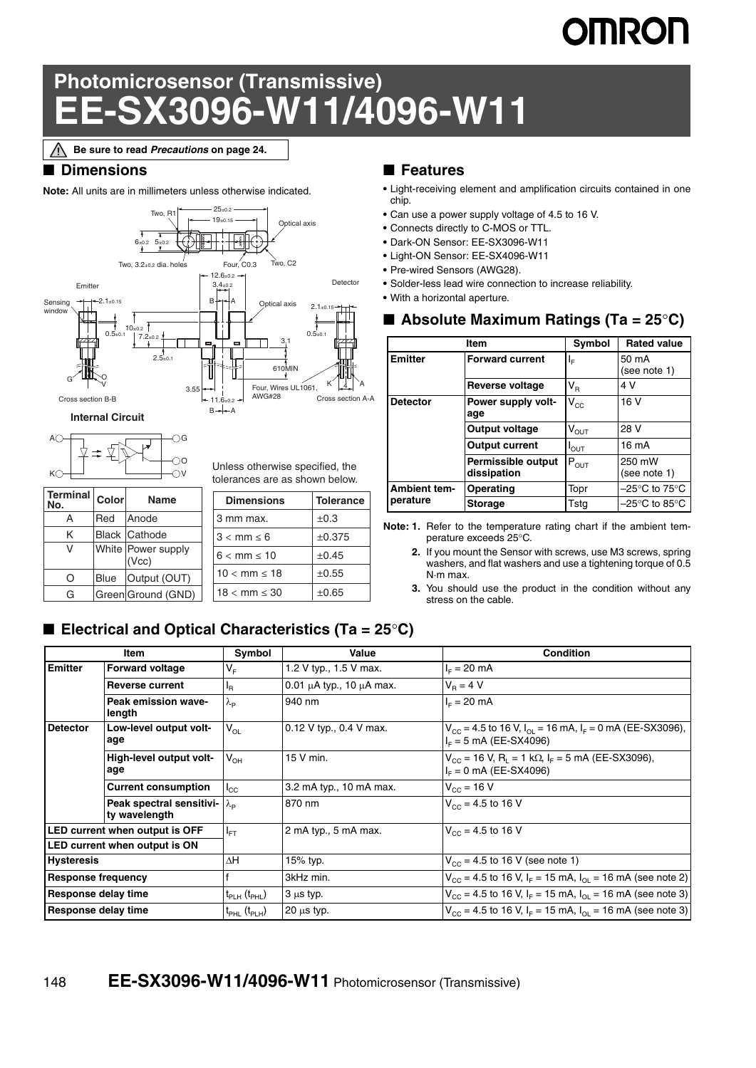# **OMRON**

## **Photomicrosensor (Transmissive) EE-SX3096-W11/4096-W11**

**Be sure to read** *Precautions* **on page 24.**

#### ■ **Dimensions**

**Note:** All units are in millimeters unless otherwise indicated.



**Internal Circuit**

|  | G        |
|--|----------|
|  |          |
|  |          |
|  | $\Omega$ |
|  |          |

Unless otherwise specified, the

| Terminal | Color | <b>Name</b>                 | Dim    |
|----------|-------|-----------------------------|--------|
| А        | Red   | Anode                       | 3 mm   |
| Κ        |       | Black Cathode               | 3 < m  |
| V        |       | White Power supply<br>(Vcc) | 6 < m  |
| $\circ$  | Blue  | Output (OUT)                | 10 < r |
| G        |       | Green Ground (GND)          | 18 < r |
|          |       |                             |        |

| 3 mm max.                | $\pm 0.3$  |
|--------------------------|------------|
| $3 < mm \leq 6$          | ±0.375     |
| $6 < \text{mm} \leq 10$  | $\pm 0.45$ |
| $10 < \text{mm} \le 18$  | $\pm 0.55$ |
| $18 < \text{mm} \leq 30$ | $\pm 0.65$ |
|                          |            |

#### ■ **Features**

- **•** Light-receiving element and amplification circuits contained in one chip.
- **•** Can use a power supply voltage of 4.5 to 16 V.
- **•** Connects directly to C-MOS or TTL.
- **•** Dark-ON Sensor: EE-SX3096-W11
- **•** Light-ON Sensor: EE-SX4096-W11
- **•** Pre-wired Sensors (AWG28).
- **•** Solder-less lead wire connection to increase reliability.
- **•** With a horizontal aperture.

#### ■ **Absolute Maximum Ratings (Ta = 25<sup>o</sup>C)**

|                     | Item                              | Symbol                     | <b>Rated value</b>                 |
|---------------------|-----------------------------------|----------------------------|------------------------------------|
| <b>Emitter</b>      | <b>Forward current</b>            | ΙF                         | 50 mA<br>(see note 1)              |
|                     | Reverse voltage                   | $V_R$                      | 4 V                                |
| <b>Detector</b>     | Power supply volt-<br>age         | $\mathsf{V}_{\mathsf{CC}}$ | 16 V                               |
|                     | Output voltage                    | $\rm V_{\rm OUT}$          | 28 V                               |
|                     | <b>Output current</b>             | $I_{\text{OUT}}$           | 16 mA                              |
|                     | Permissible output<br>dissipation | $P_{OUT}$                  | 250 mW<br>(see note 1)             |
| <b>Ambient tem-</b> | Operating                         | Topr                       | $-25^{\circ}$ C to 75 $^{\circ}$ C |
| perature            | <b>Storage</b>                    | Tsta                       | $-25^{\circ}$ C to 85 $^{\circ}$ C |

**Note: 1.** Refer to the temperature rating chart if the ambient temperature exceeds 25°C.

**2.** If you mount the Sensor with screws, use M3 screws, spring washers, and flat washers and use a tightening torque of 0.5 N·m max.

**3.** You should use the product in the condition without any stress on the cable.

### ■ **Electrical and Optical Characteristics (Ta = 25<sup>o</sup>C)**

|                           | Item                                                        | Symbol                          | Value                              | <b>Condition</b>                                                                                                       |
|---------------------------|-------------------------------------------------------------|---------------------------------|------------------------------------|------------------------------------------------------------------------------------------------------------------------|
| <b>Emitter</b>            | <b>Forward voltage</b>                                      | V <sub>⊧</sub>                  | 1.2 V typ., 1.5 V max.             | $I_{F} = 20$ mA                                                                                                        |
|                           | <b>Reverse current</b>                                      | 'R                              | 0.01 $\mu$ A typ., 10 $\mu$ A max. | $V_B = 4 V$                                                                                                            |
|                           | Peak emission wave-<br>length                               | $\lambda_{\text{p}}$            | 940 nm                             | $I_F = 20$ mA                                                                                                          |
| <b>Detector</b>           | Low-level output volt-<br>age                               | $\mathsf{V}_{\mathsf{OL}}$      | 0.12 V typ., 0.4 V max.            | $V_{\text{CC}}$ = 4.5 to 16 V, $I_{\text{OL}}$ = 16 mA, $I_{\text{F}}$ = 0 mA (EE-SX3096),<br>$I_F = 5$ mA (EE-SX4096) |
|                           | High-level output volt-<br>age                              | $\mathsf{V}_{\mathsf{OH}}$      | 15 V min.                          | $V_{CC}$ = 16 V, R <sub>1</sub> = 1 k $\Omega$ , I <sub>F</sub> = 5 mA (EE-SX3096),<br>$I_F = 0$ mA (EE-SX4096)        |
|                           | <b>Current consumption</b>                                  | $I_{CC}$                        | 3.2 mA typ., 10 mA max.            | $V_{\text{cc}} = 16 V$                                                                                                 |
|                           | Peak spectral sensitivi- $\lambda_{\rm p}$<br>ty wavelength |                                 | 870 nm                             | $V_{\text{cc}}$ = 4.5 to 16 V                                                                                          |
|                           | LED current when output is OFF                              | $I_{FT}$                        | 2 mA typ., 5 mA max.               | $V_{cc}$ = 4.5 to 16 V                                                                                                 |
|                           | LED current when output is ON                               |                                 |                                    |                                                                                                                        |
| <b>Hysteresis</b>         |                                                             | ΔΗ                              | 15% typ.                           | $V_{\text{cc}}$ = 4.5 to 16 V (see note 1)                                                                             |
| <b>Response frequency</b> |                                                             |                                 | 3kHz min.                          | $V_{\text{CC}}$ = 4.5 to 16 V, I <sub>F</sub> = 15 mA, I <sub>OI</sub> = 16 mA (see note 2)                            |
| Response delay time       |                                                             | $t_{\sf PLH}$ ( $t_{\sf PHL}$ ) | $3 \mu s$ typ.                     | $V_{CC}$ = 4.5 to 16 V, I <sub>F</sub> = 15 mA, I <sub>OI</sub> = 16 mA (see note 3)                                   |
| Response delay time       |                                                             | $t_{\sf PHL}$ ( $t_{\sf PLH}$ ) | $20 \mu s$ typ.                    | $V_{CC}$ = 4.5 to 16 V, I <sub>F</sub> = 15 mA, I <sub>OI</sub> = 16 mA (see note 3)                                   |